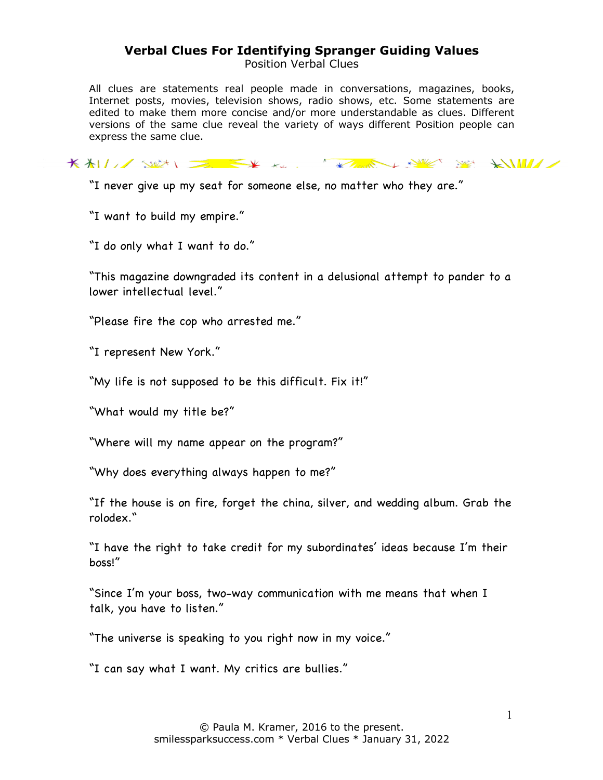Position Verbal Clues

All clues are statements real people made in conversations, magazines, books, Internet posts, movies, television shows, radio shows, etc. Some statements are edited to make them more concise and/or more understandable as clues. Different versions of the same clue reveal the variety of ways different Position people can express the same clue.

KALL SEN EXTREMELY SERVER SERVER

"I never give up my seat for someone else, no matter who they are."

"I want to build my empire."

"I do only what I want to do."

"This magazine downgraded its content in a delusional attempt to pander to a lower intellectual level."

"Please fire the cop who arrested me."

"I represent New York."

"My life is not supposed to be this difficult. Fix it!"

"What would my title be?"

"Where will my name appear on the program?"

"Why does everything always happen to me?"

"If the house is on fire, forget the china, silver, and wedding album. Grab the rolodex."

"I have the right to take credit for my subordinates' ideas because I'm their boss!"

"Since I'm your boss, two-way communication with me means that when I talk, you have to listen."

"The universe is speaking to you right now in my voice."

"I can say what I want. My critics are bullies."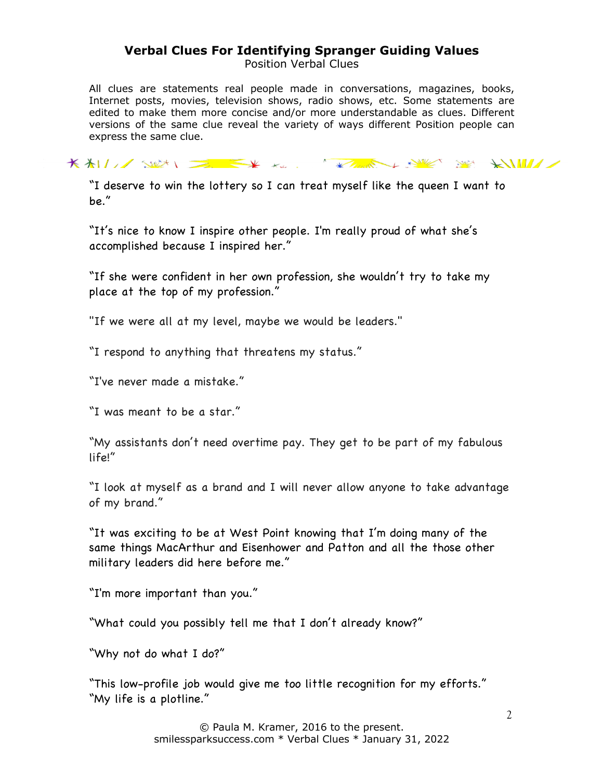Position Verbal Clues

All clues are statements real people made in conversations, magazines, books, Internet posts, movies, television shows, radio shows, etc. Some statements are edited to make them more concise and/or more understandable as clues. Different versions of the same clue reveal the variety of ways different Position people can express the same clue.

KALL SEN EX KELL KARE SE KILL

"I deserve to win the lottery so I can treat myself like the queen I want to be."

"It's nice to know I inspire other people. I'm really proud of what she's accomplished because I inspired her."

"If she were confident in her own profession, she wouldn't try to take my place at the top of my profession."

"If we were all at my level, maybe we would be leaders."

"I respond to anything that threatens my status."

"I've never made a mistake."

"I was meant to be a star."

"My assistants don't need overtime pay. They get to be part of my fabulous life!"

"I look at myself as a brand and I will never allow anyone to take advantage of my brand."

"It was exciting to be at West Point knowing that I'm doing many of the same things MacArthur and Eisenhower and Patton and all the those other military leaders did here before me."

"I'm more important than you."

"What could you possibly tell me that I don't already know?"

"Why not do what I do?"

"This low-profile job would give me too little recognition for my efforts." "My life is a plotline."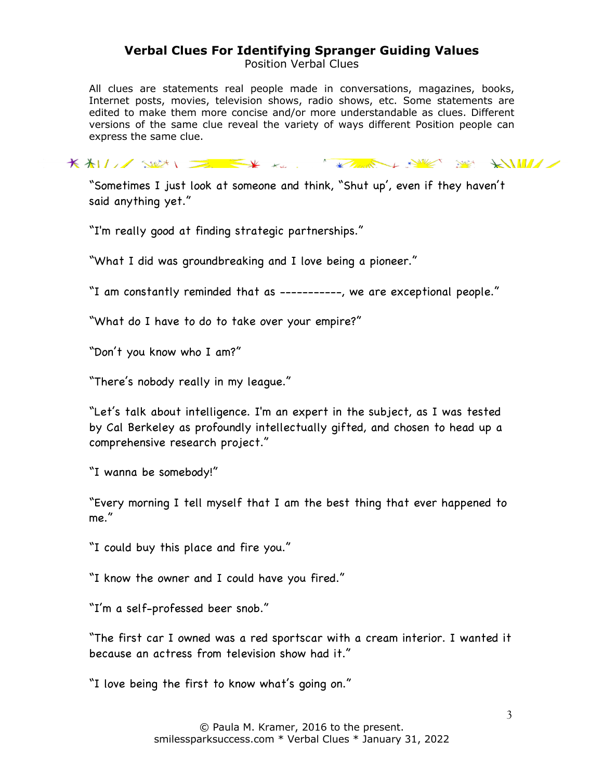Position Verbal Clues

All clues are statements real people made in conversations, magazines, books, Internet posts, movies, television shows, radio shows, etc. Some statements are edited to make them more concise and/or more understandable as clues. Different versions of the same clue reveal the variety of ways different Position people can express the same clue.

KALL SEN EXTREMELY SERVER SERVER

"Sometimes I just look at someone and think, "Shut up', even if they haven't said anything yet."

"I'm really good at finding strategic partnerships."

"What I did was groundbreaking and I love being a pioneer."

"I am constantly reminded that as -----------, we are exceptional people."

"What do I have to do to take over your empire?"

"Don't you know who I am?"

"There's nobody really in my league."

"Let's talk about intelligence. I'm an expert in the subject, as I was tested by Cal Berkeley as profoundly intellectually gifted, and chosen to head up a comprehensive research project."

"I wanna be somebody!"

"Every morning I tell myself that I am the best thing that ever happened to me."

"I could buy this place and fire you."

"I know the owner and I could have you fired."

"I'm a self-professed beer snob."

"The first car I owned was a red sportscar with a cream interior. I wanted it because an actress from television show had it."

"I love being the first to know what's going on."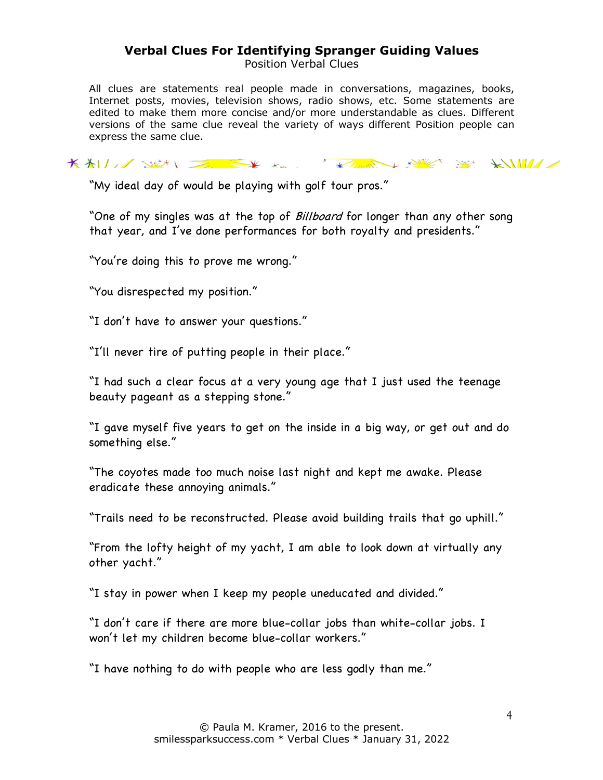Position Verbal Clues

All clues are statements real people made in conversations, magazines, books, Internet posts, movies, television shows, radio shows, etc. Some statements are edited to make them more concise and/or more understandable as clues. Different versions of the same clue reveal the variety of ways different Position people can express the same clue.

KALLING WAS THE STATE OF THE STATE OF ANNA

"My ideal day of would be playing with golf tour pros."

"One of my singles was at the top of *Billboard* for longer than any other song that year, and I've done performances for both royalty and presidents."

"You're doing this to prove me wrong."

"You disrespected my position."

"I don't have to answer your questions."

"I'll never tire of putting people in their place."

"I had such a clear focus at a very young age that I just used the teenage beauty pageant as a stepping stone."

"I gave myself five years to get on the inside in a big way, or get out and do something else."

"The coyotes made too much noise last night and kept me awake. Please eradicate these annoying animals."

"Trails need to be reconstructed. Please avoid building trails that go uphill."

"From the lofty height of my yacht, I am able to look down at virtually any other yacht."

"I stay in power when I keep my people uneducated and divided."

"I don't care if there are more blue-collar jobs than white-collar jobs. I won't let my children become blue-collar workers."

"I have nothing to do with people who are less godly than me."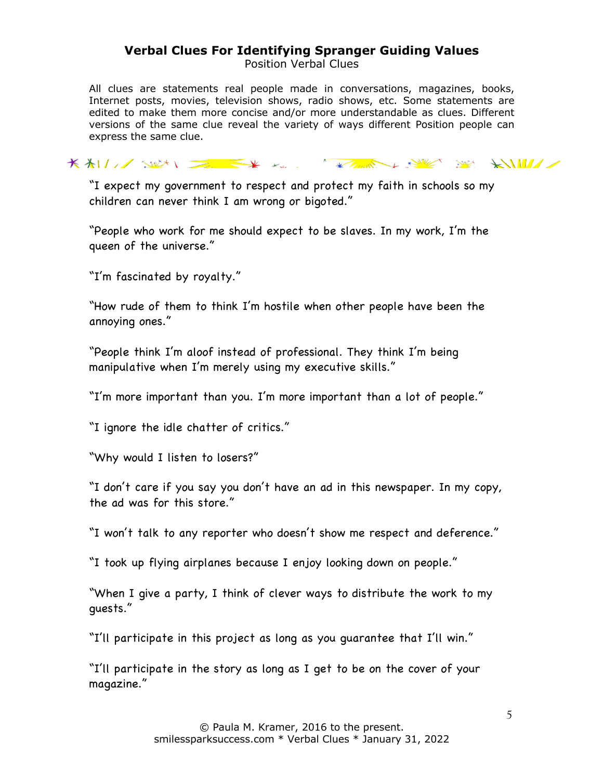Position Verbal Clues

All clues are statements real people made in conversations, magazines, books, Internet posts, movies, television shows, radio shows, etc. Some statements are edited to make them more concise and/or more understandable as clues. Different versions of the same clue reveal the variety of ways different Position people can express the same clue.

KALL SULLET KARL KARA KARA SULLET

"I expect my government to respect and protect my faith in schools so my children can never think I am wrong or bigoted."

"People who work for me should expect to be slaves. In my work, I'm the queen of the universe."

"I'm fascinated by royalty."

"How rude of them to think I'm hostile when other people have been the annoying ones."

"People think I'm aloof instead of professional. They think I'm being manipulative when I'm merely using my executive skills."

"I'm more important than you. I'm more important than a lot of people."

"I ignore the idle chatter of critics."

"Why would I listen to losers?"

"I don't care if you say you don't have an ad in this newspaper. In my copy, the ad was for this store."

"I won't talk to any reporter who doesn't show me respect and deference."

"I took up flying airplanes because I enjoy looking down on people."

"When I give a party, I think of clever ways to distribute the work to my guests."

"I'll participate in this project as long as you guarantee that I'll win."

"I'll participate in the story as long as I get to be on the cover of your magazine."